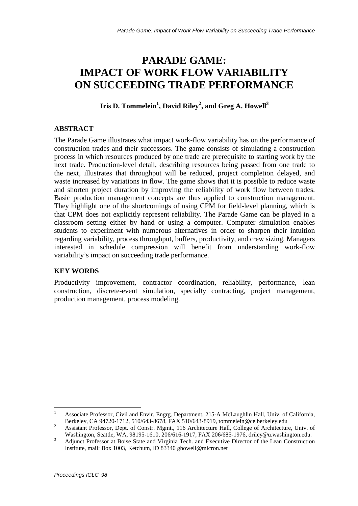# **PARADE GAME: IMPACT OF WORK FLOW VARIABILITY ON SUCCEEDING TRADE PERFORMANCE**

# **Iris D. Tommelein<sup>1</sup> , David Riley<sup>2</sup> , and Greg A. Howell<sup>3</sup>**

# **ABSTRACT**

The Parade Game illustrates what impact work-flow variability has on the performance of construction trades and their successors. The game consists of simulating a construction process in which resources produced by one trade are prerequisite to starting work by the next trade. Production-level detail, describing resources being passed from one trade to the next, illustrates that throughput will be reduced, project completion delayed, and waste increased by variations in flow. The game shows that it is possible to reduce waste and shorten project duration by improving the reliability of work flow between trades. Basic production management concepts are thus applied to construction management. They highlight one of the shortcomings of using CPM for field-level planning, which is that CPM does not explicitly represent reliability. The Parade Game can be played in a classroom setting either by hand or using a computer. Computer simulation enables students to experiment with numerous alternatives in order to sharpen their intuition regarding variability, process throughput, buffers, productivity, and crew sizing. Managers interested in schedule compression will benefit from understanding work-flow variability's impact on succeeding trade performance.

# **KEY WORDS**

Productivity improvement, contractor coordination, reliability, performance, lean construction, discrete-event simulation, specialty contracting, project management, production management, process modeling.

 $\mathbf{1}$ <sup>1</sup> Associate Professor, Civil and Envir. Engrg. Department, 215-A McLaughlin Hall, Univ. of California, Berkeley, CA 94720-1712, 510/643-8678, FAX 510/643-8919, tommelein@ce.berkeley.edu

<sup>&</sup>lt;sup>2</sup> Assistant Professor, Dept. of Constr. Mgmt., 116 Architecture Hall, College of Architecture, Univ. of Washington, Seattle, WA, 98195-1610, 206/616-1917, FAX 206/685-1976, driley@u.washington.edu.

<sup>&</sup>lt;sup>3</sup> Adjunct Professor at Boise State and Virginia Tech. and Executive Director of the Lean Construction Institute, mail: Box 1003, Ketchum, ID 83340 ghowell@micron.net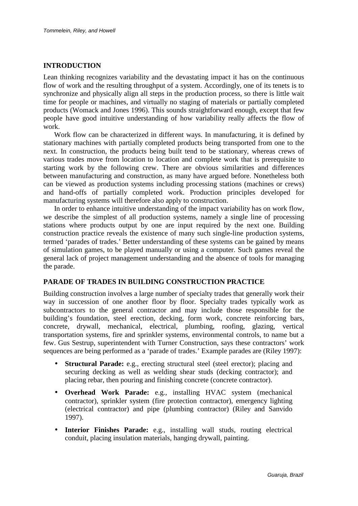## **INTRODUCTION**

Lean thinking recognizes variability and the devastating impact it has on the continuous flow of work and the resulting throughput of a system. Accordingly, one of its tenets is to synchronize and physically align all steps in the production process, so there is little wait time for people or machines, and virtually no staging of materials or partially completed products (Womack and Jones 1996). This sounds straightforward enough, except that few people have good intuitive understanding of how variability really affects the flow of work.

Work flow can be characterized in different ways. In manufacturing, it is defined by stationary machines with partially completed products being transported from one to the next. In construction, the products being built tend to be stationary, whereas crews of various trades move from location to location and complete work that is prerequisite to starting work by the following crew. There are obvious similarities and differences between manufacturing and construction, as many have argued before. Nonetheless both can be viewed as production systems including processing stations (machines or crews) and hand-offs of partially completed work. Production principles developed for manufacturing systems will therefore also apply to construction.

In order to enhance intuitive understanding of the impact variability has on work flow, we describe the simplest of all production systems, namely a single line of processing stations where products output by one are input required by the next one. Building construction practice reveals the existence of many such single-line production systems, termed 'parades of trades.' Better understanding of these systems can be gained by means of simulation games, to be played manually or using a computer. Such games reveal the general lack of project management understanding and the absence of tools for managing the parade.

## **PARADE OF TRADES IN BUILDING CONSTRUCTION PRACTICE**

Building construction involves a large number of specialty trades that generally work their way in succession of one another floor by floor. Specialty trades typically work as subcontractors to the general contractor and may include those responsible for the building's foundation, steel erection, decking, form work, concrete reinforcing bars, concrete, drywall, mechanical, electrical, plumbing, roofing, glazing, vertical transportation systems, fire and sprinkler systems, environmental controls, to name but a few. Gus Sestrup, superintendent with Turner Construction, says these contractors' work sequences are being performed as a 'parade of trades.' Example parades are (Riley 1997):

- **Structural Parade:** e.g., erecting structural steel (steel erector); placing and securing decking as well as welding shear studs (decking contractor); and placing rebar, then pouring and finishing concrete (concrete contractor).
- **Overhead Work Parade:** e.g., installing HVAC system (mechanical contractor), sprinkler system (fire protection contractor), emergency lighting (electrical contractor) and pipe (plumbing contractor) (Riley and Sanvido 1997).
- **Interior Finishes Parade:** e.g., installing wall studs, routing electrical conduit, placing insulation materials, hanging drywall, painting.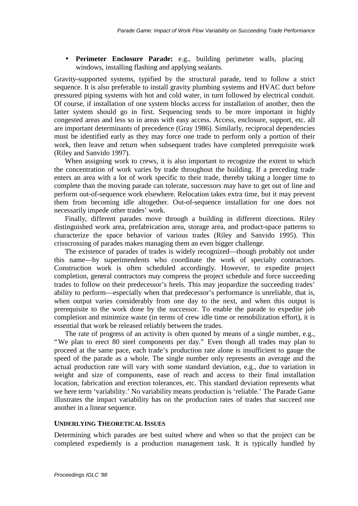• **Perimeter Enclosure Parade:** e.g., building perimeter walls, placing windows, installing flashing and applying sealants.

Gravity-supported systems, typified by the structural parade, tend to follow a strict sequence. It is also preferable to install gravity plumbing systems and HVAC duct before pressured piping systems with hot and cold water, in turn followed by electrical conduit. Of course, if installation of one system blocks access for installation of another, then the latter system should go in first. Sequencing tends to be more important in highly congested areas and less so in areas with easy access. Access, enclosure, support, etc. all are important determinants of precedence (Gray 1986). Similarly, reciprocal dependencies must be identified early as they may force one trade to perform only a portion of their work, then leave and return when subsequent trades have completed prerequisite work (Riley and Sanvido 1997).

When assigning work to crews, it is also important to recognize the extent to which the concentration of work varies by trade throughout the building. If a preceding trade enters an area with a lot of work specific to their trade, thereby taking a longer time to complete than the moving parade can tolerate, successors may have to get out of line and perform out-of-sequence work elsewhere. Relocation takes extra time, but it may prevent them from becoming idle altogether. Out-of-sequence installation for one does not necessarily impede other trades' work.

Finally, different parades move through a building in different directions. Riley distinguished work area, prefabrication area, storage area, and product-space patterns to characterize the space behavior of various trades (Riley and Sanvido 1995). This crisscrossing of parades makes managing them an even bigger challenge.

The existence of parades of trades is widely recognized— though probably not under this name— by superintendents who coordinate the work of specialty contractors. Construction work is often scheduled accordingly. However, to expedite project completion, general contractors may compress the project schedule and force succeeding trades to follow on their predecessor's heels. This may jeopardize the succeeding trades' ability to perform— especially when that predecessor's performance is unreliable, that is, when output varies considerably from one day to the next, and when this output is prerequisite to the work done by the successor. To enable the parade to expedite job completion and minimize waste (in terms of crew idle time or remobilization effort), it is essential that work be released reliably between the trades.

The rate of progress of an activity is often quoted by means of a single number, e.g., "We plan to erect 80 steel components per day." Even though all trades may plan to proceed at the same pace, each trade's production rate alone is insufficient to gauge the speed of the parade as a whole. The single number only represents an average and the actual production rate will vary with some standard deviation, e.g., due to variation in weight and size of components, ease of reach and access to their final installation location, fabrication and erection tolerances, etc. This standard deviation represents what we here term 'variability.' No variability means production is 'reliable.' The Parade Game illustrates the impact variability has on the production rates of trades that succeed one another in a linear sequence.

## **UNDERLYING THEORETICAL ISSUES**

Determining which parades are best suited where and when so that the project can be completed expediently is a production management task. It is typically handled by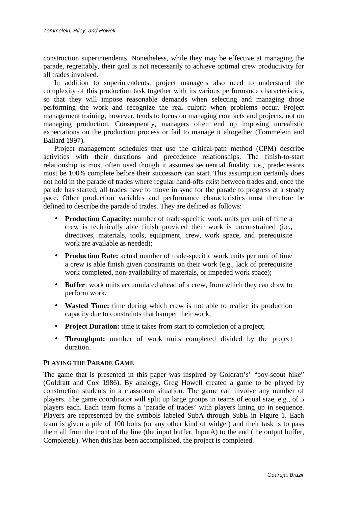construction superintendents. Nonetheless, while they may be effective at managing the parade, regrettably, their goal is not necessarily to achieve optimal crew productivity for all trades involved.

In addition to superintendents, project managers also need to understand the complexity of this production task together with its various performance characteristics, so that they will impose reasonable demands when selecting and managing those performing the work and recognize the real culprit when problems occur. Project management training, however, tends to focus on managing contracts and projects, not on managing production. Consequently, managers often end up imposing unrealistic expectations on the production process or fail to manage it altogether (Tommelein and Ballard 1997).

Project management schedules that use the critical-path method (CPM) describe activities with their durations and precedence relationships. The finish-to-start relationship is most often used though it assumes sequential finality, i.e., predecessors must be 100% complete before their successors can start. This assumption certainly does not hold in the parade of trades where regular hand-offs exist between trades and, once the parade has started, all trades have to move in sync for the parade to progress at a steady pace. Other production variables and performance characteristics must therefore be defined to describe the parade of trades. They are defined as follows:

- **Production Capacity:** number of trade-specific work units per unit of time a crew is technically able finish provided their work is unconstrained (i.e., directives, materials, tools, equipment, crew, work space, and prerequisite work are available as needed);
- **Production Rate:** actual number of trade-specific work units per unit of time a crew is able finish given constraints on their work (e.g., lack of prerequisite work completed, non-availability of materials, or impeded work space);
- **Buffer**: work units accumulated ahead of a crew, from which they can draw to perform work.
- **Wasted Time:** time during which crew is not able to realize its production capacity due to constraints that hamper their work;
- **Project Duration:** time it takes from start to completion of a project;
- **Throughput:** number of work units completed divided by the project duration.

## **PLAYING THE PARADE GAME**

The game that is presented in this paper was inspired by Goldratt's' "boy-scout hike" (Goldratt and Cox 1986). By analogy, Greg Howell created a game to be played by construction students in a classroom situation. The game can involve any number of players. The game coordinator will split up large groups in teams of equal size, e.g., of 5 players each. Each team forms a 'parade of trades' with players lining up in sequence. Players are represented by the symbols labeled SubA through SubE in Figure 1. Each team is given a pile of 100 bolts (or any other kind of widget) and their task is to pass them all from the front of the line (the input buffer, InputA) to the end (the output buffer, CompleteE). When this has been accomplished, the project is completed.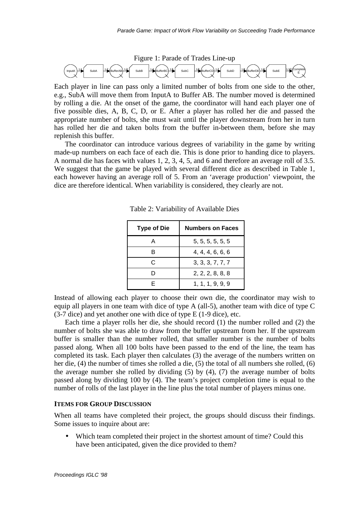

Each player in line can pass only a limited number of bolts from one side to the other, e.g., SubA will move them from InputA to Buffer AB. The number moved is determined by rolling a die. At the onset of the game, the coordinator will hand each player one of five possible dies, A, B, C, D, or E. After a player has rolled her die and passed the appropriate number of bolts, she must wait until the player downstream from her in turn has rolled her die and taken bolts from the buffer in-between them, before she may replenish this buffer.

The coordinator can introduce various degrees of variability in the game by writing made-up numbers on each face of each die. This is done prior to handing dice to players. A normal die has faces with values 1, 2, 3, 4, 5, and 6 and therefore an average roll of 3.5. We suggest that the game be played with several different dice as described in Table 1, each however having an average roll of 5. From an 'average production' viewpoint, the dice are therefore identical. When variability is considered, they clearly are not.

| <b>Type of Die</b> | <b>Numbers on Faces</b> |  |  |
|--------------------|-------------------------|--|--|
| А                  | 5, 5, 5, 5, 5, 5        |  |  |
| в                  | 4, 4, 4, 6, 6, 6        |  |  |
| C                  | 3, 3, 3, 7, 7, 7        |  |  |
| D                  | 2, 2, 2, 8, 8, 8        |  |  |
| F                  | 1, 1, 1, 9, 9, 9        |  |  |

Table 2: Variability of Available Dies

Instead of allowing each player to choose their own die, the coordinator may wish to equip all players in one team with dice of type A (all-5), another team with dice of type C (3-7 dice) and yet another one with dice of type E (1-9 dice), etc.

Each time a player rolls her die, she should record (1) the number rolled and (2) the number of bolts she was able to draw from the buffer upstream from her. If the upstream buffer is smaller than the number rolled, that smaller number is the number of bolts passed along. When all 100 bolts have been passed to the end of the line, the team has completed its task. Each player then calculates (3) the average of the numbers written on her die, (4) the number of times she rolled a die, (5) the total of all numbers she rolled, (6) the average number she rolled by dividing  $(5)$  by  $(4)$ ,  $(7)$  the average number of bolts passed along by dividing 100 by (4). The team's project completion time is equal to the number of rolls of the last player in the line plus the total number of players minus one.

#### **ITEMS FOR GROUP DISCUSSION**

When all teams have completed their project, the groups should discuss their findings. Some issues to inquire about are:

Which team completed their project in the shortest amount of time? Could this have been anticipated, given the dice provided to them?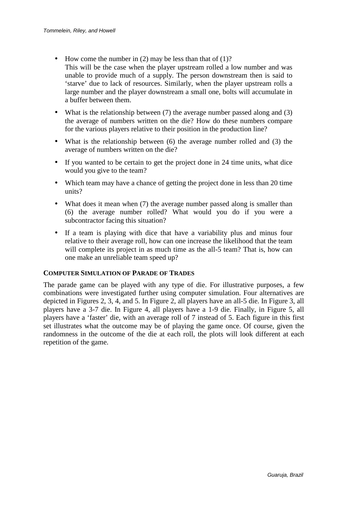- How come the number in  $(2)$  may be less than that of  $(1)$ ? This will be the case when the player upstream rolled a low number and was unable to provide much of a supply. The person downstream then is said to 'starve' due to lack of resources. Similarly, when the player upstream rolls a large number and the player downstream a small one, bolts will accumulate in a buffer between them.
- What is the relationship between (7) the average number passed along and (3) the average of numbers written on the die? How do these numbers compare for the various players relative to their position in the production line?
- What is the relationship between (6) the average number rolled and (3) the average of numbers written on the die?
- If you wanted to be certain to get the project done in 24 time units, what dice would you give to the team?
- Which team may have a chance of getting the project done in less than 20 time units?
- What does it mean when (7) the average number passed along is smaller than (6) the average number rolled? What would you do if you were a subcontractor facing this situation?
- If a team is playing with dice that have a variability plus and minus four relative to their average roll, how can one increase the likelihood that the team will complete its project in as much time as the all-5 team? That is, how can one make an unreliable team speed up?

## **COMPUTER SIMULATION OF PARADE OF TRADES**

The parade game can be played with any type of die. For illustrative purposes, a few combinations were investigated further using computer simulation. Four alternatives are depicted in Figures 2, 3, 4, and 5. In Figure 2, all players have an all-5 die. In Figure 3, all players have a 3-7 die. In Figure 4, all players have a 1-9 die. Finally, in Figure 5, all players have a 'faster' die, with an average roll of 7 instead of 5. Each figure in this first set illustrates what the outcome may be of playing the game once. Of course, given the randomness in the outcome of the die at each roll, the plots will look different at each repetition of the game.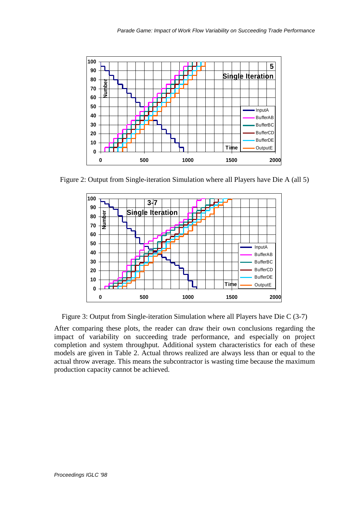

Figure 2: Output from Single-iteration Simulation where all Players have Die A (all 5)



Figure 3: Output from Single-iteration Simulation where all Players have Die C (3-7)

After comparing these plots, the reader can draw their own conclusions regarding the impact of variability on succeeding trade performance, and especially on project completion and system throughput. Additional system characteristics for each of these models are given in Table 2. Actual throws realized are always less than or equal to the actual throw average. This means the subcontractor is wasting time because the maximum production capacity cannot be achieved.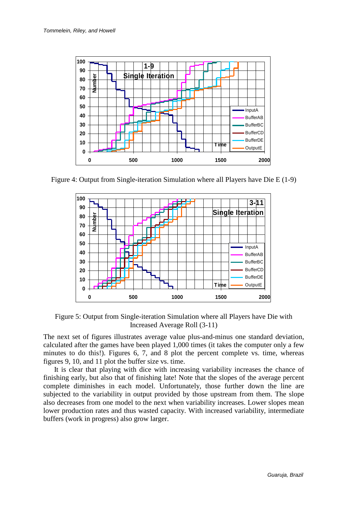

Figure 4: Output from Single-iteration Simulation where all Players have Die E (1-9)



Figure 5: Output from Single-iteration Simulation where all Players have Die with Increased Average Roll (3-11)

The next set of figures illustrates average value plus-and-minus one standard deviation, calculated after the games have been played 1,000 times (it takes the computer only a few minutes to do this!). Figures 6, 7, and 8 plot the percent complete vs. time, whereas figures 9, 10, and 11 plot the buffer size vs. time.

It is clear that playing with dice with increasing variability increases the chance of finishing early, but also that of finishing late! Note that the slopes of the average percent complete diminishes in each model. Unfortunately, those further down the line are subjected to the variability in output provided by those upstream from them. The slope also decreases from one model to the next when variability increases. Lower slopes mean lower production rates and thus wasted capacity. With increased variability, intermediate buffers (work in progress) also grow larger.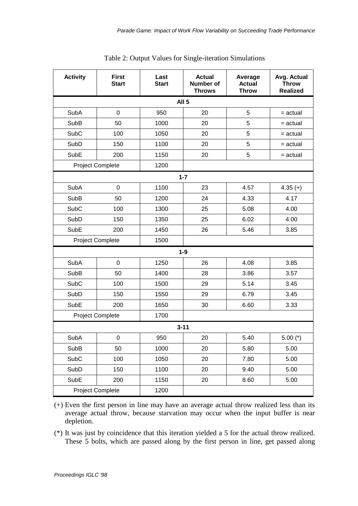| <b>Activity</b>                 | <b>First</b><br><b>Start</b> | Last<br><b>Start</b> | <b>Actual</b><br><b>Number of</b><br><b>Throws</b> | Average<br><b>Actual</b><br><b>Throw</b> | Avg. Actual<br><b>Throw</b><br><b>Realized</b> |  |
|---------------------------------|------------------------------|----------------------|----------------------------------------------------|------------------------------------------|------------------------------------------------|--|
| <b>All 5</b>                    |                              |                      |                                                    |                                          |                                                |  |
| SubA                            | $\pmb{0}$                    | 950                  | 20                                                 | 5                                        | $=$ actual                                     |  |
| <b>SubB</b>                     | 50                           | 1000                 | 20                                                 | 5                                        | $=$ actual                                     |  |
| <b>SubC</b>                     | 100                          | 1050                 | 20                                                 | 5                                        | $=$ actual                                     |  |
| SubD                            | 150                          | 1100                 | 20                                                 | 5                                        | $=$ actual                                     |  |
| SubE                            | 200                          | 1150                 | 20                                                 | 5                                        | $=$ actual                                     |  |
| <b>Project Complete</b><br>1200 |                              |                      |                                                    |                                          |                                                |  |
| $1 - 7$                         |                              |                      |                                                    |                                          |                                                |  |
| <b>SubA</b>                     | $\mathbf 0$                  | 1100                 | 23                                                 | 4.57                                     | $4.35 (+)$                                     |  |
| SubB                            | 50                           | 1200                 | 24                                                 | 4.33                                     | 4.17                                           |  |
| <b>SubC</b>                     | 100                          | 1300                 | 25                                                 | 5.08                                     | 4.00                                           |  |
| SubD                            | 150                          | 1350                 | 25                                                 | 6.02                                     | 4.00                                           |  |
| <b>SubE</b>                     | 200                          | 1450                 | 26                                                 | 5.46                                     | 3.85                                           |  |
| <b>Project Complete</b><br>1500 |                              |                      |                                                    |                                          |                                                |  |
| $1-9$                           |                              |                      |                                                    |                                          |                                                |  |
| <b>SubA</b>                     | $\boldsymbol{0}$             | 1250                 | 26                                                 | 4.08                                     | 3.85                                           |  |
| <b>SubB</b>                     | 50                           | 1400                 | 28                                                 | 3.86                                     | 3.57                                           |  |
| SubC                            | 100                          | 1500                 | 29                                                 | 5.14                                     | 3.45                                           |  |
| SubD                            | 150                          | 1550                 | 29                                                 | 6.79                                     | 3.45                                           |  |
| SubE                            | 200                          | 1650                 | 30                                                 | 6.60                                     | 3.33                                           |  |
| <b>Project Complete</b><br>1700 |                              |                      |                                                    |                                          |                                                |  |
| $3 - 11$                        |                              |                      |                                                    |                                          |                                                |  |
| SubA                            | 0                            | 950                  | 20                                                 | 5.40                                     | $5.00$ (*)                                     |  |
| <b>SubB</b>                     | 50                           | 1000                 | 20                                                 | 5.80                                     | 5.00                                           |  |
| SubC                            | 100                          | 1050                 | 20                                                 | 7.80                                     | 5.00                                           |  |
| SubD                            | 150                          | 1100                 | 20                                                 | 9.40                                     | 5.00                                           |  |
| SubE                            | 200                          | 1150                 | 20                                                 | 8.60                                     | 5.00                                           |  |
| <b>Project Complete</b>         |                              | 1200                 |                                                    |                                          |                                                |  |

Table 2: Output Values for Single-iteration Simulations

(+) Even the first person in line may have an average actual throw realized less than its average actual throw, because starvation may occur when the input buffer is near depletion.

(\*) It was just by coincidence that this iteration yielded a 5 for the actual throw realized. These 5 bolts, which are passed along by the first person in line, get passed along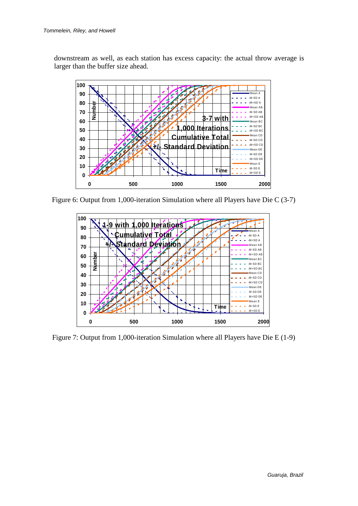downstream as well, as each station has excess capacity: the actual throw average is larger than the buffer size ahead.



Figure 6: Output from 1,000-iteration Simulation where all Players have Die C (3-7)



Figure 7: Output from 1,000-iteration Simulation where all Players have Die E (1-9)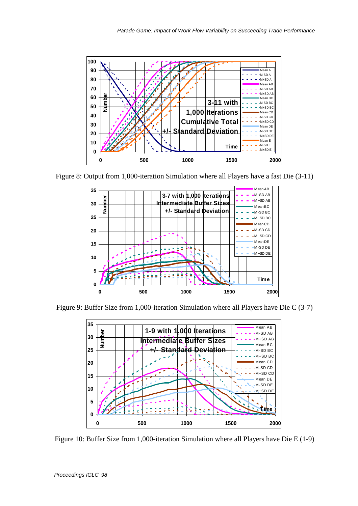

Figure 8: Output from 1,000-iteration Simulation where all Players have a fast Die (3-11)



Figure 9: Buffer Size from 1,000-iteration Simulation where all Players have Die C (3-7)



Figure 10: Buffer Size from 1,000-iteration Simulation where all Players have Die E (1-9)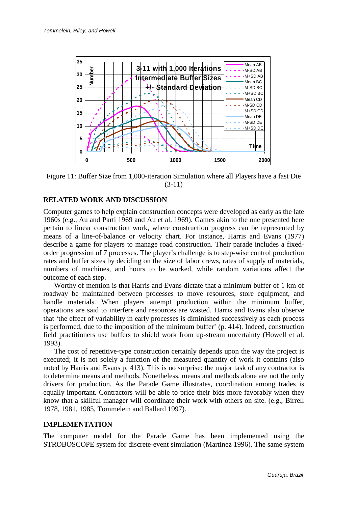

Figure 11: Buffer Size from 1,000-iteration Simulation where all Players have a fast Die (3-11)

## **RELATED WORK AND DISCUSSION**

Computer games to help explain construction concepts were developed as early as the late 1960s (e.g., Au and Parti 1969 and Au et al. 1969). Games akin to the one presented here pertain to linear construction work, where construction progress can be represented by means of a line-of-balance or velocity chart. For instance, Harris and Evans (1977) describe a game for players to manage road construction. Their parade includes a fixedorder progression of 7 processes. The player's challenge is to step-wise control production rates and buffer sizes by deciding on the size of labor crews, rates of supply of materials, numbers of machines, and hours to be worked, while random variations affect the outcome of each step.

Worthy of mention is that Harris and Evans dictate that a minimum buffer of 1 km of roadway be maintained between processes to move resources, store equipment, and handle materials. When players attempt production within the minimum buffer, operations are said to interfere and resources are wasted. Harris and Evans also observe that 'the effect of variability in early processes is diminished successively as each process is performed, due to the imposition of the minimum buffer' (p. 414). Indeed, construction field practitioners use buffers to shield work from up-stream uncertainty (Howell et al. 1993).

The cost of repetitive-type construction certainly depends upon the way the project is executed; it is not solely a function of the measured quantity of work it contains (also noted by Harris and Evans p. 413). This is no surprise: the major task of any contractor is to determine means and methods. Nonetheless, means and methods alone are not the only drivers for production. As the Parade Game illustrates, coordination among trades is equally important. Contractors will be able to price their bids more favorably when they know that a skillful manager will coordinate their work with others on site. (e.g., Birrell 1978, 1981, 1985, Tommelein and Ballard 1997).

## **IMPLEMENTATION**

The computer model for the Parade Game has been implemented using the STROBOSCOPE system for discrete-event simulation (Martinez 1996). The same system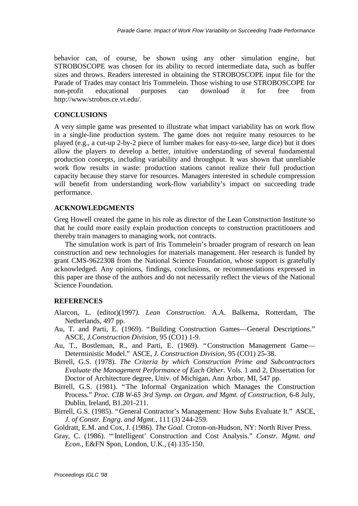behavior can, of course, be shown using any other simulation engine, but STROBOSCOPE was chosen for its ability to record intermediate data, such as buffer sizes and throws. Readers interested in obtaining the STROBOSCOPE input file for the Parade of Trades may contact Iris Tommelein. Those wishing to use STROBOSCOPE for non-profit educational purposes can download it for free from http://www/strobos.ce.vt.edu/.

# **CONCLUSIONS**

A very simple game was presented to illustrate what impact variability has on work flow in a single-line production system. The game does not require many resources to be played (e.g., a cut-up 2-by-2 piece of lumber makes for easy-to-see, large dice) but it does allow the players to develop a better, intuitive understanding of several fundamental production concepts, including variability and throughput. It was shown that unreliable work flow results in waste: production stations cannot realize their full production capacity because they starve for resources. Managers interested in schedule compression will benefit from understanding work-flow variability's impact on succeeding trade performance.

# **ACKNOWLEDGMENTS**

Greg Howell created the game in his role as director of the Lean Construction Institute so that he could more easily explain production concepts to construction practitioners and thereby train managers to managing work, not contracts.

The simulation work is part of Iris Tommelein's broader program of research on lean construction and new technologies for materials management. Her research is funded by grant CMS-9622308 from the National Science Foundation, whose support is gratefully acknowledged. Any opinions, findings, conclusions, or recommendations expressed in this paper are those of the authors and do not necessarily reflect the views of the National Science Foundation.

# **REFERENCES**

- Alarcon, L. (editor)(1997*). Lean Construction*. A.A. Balkema, Rotterdam, The Netherlands, 497 pp.
- Au, T. and Parti, E. (1969). "Building Construction Games— General Descriptions." ASCE, *J.Construction Division*, 95 (CO1) 1-9.
- Au, T., Bostleman, R., and Parti, E. (1969). "Construction Management Game— Deterministic Model." ASCE, *J. Construction Division*, 95 (CO1) 25-38.
- Birrell, G.S. (1978). *The Criteria by which Construction Prime and Subcontractors Evaluate the Management Performance of Each Other*. Vols. 1 and 2, Dissertation for Doctor of Architecture degree, Univ. of Michigan, Ann Arbor, MI, 547 pp.
- Birrell, G.S. (1981). "The Informal Organization which Manages the Construction Process." *Proc. CIB W-65 3rd Symp. on Organ. and Mgmt. of Construction*, 6-8 July, Dublin, Ireland, B1.201-211.
- Birrell, G.S. (1985). "General Contractor's Management: How Subs Evaluate It." ASCE, *J. of Constr. Engrg. and Mgmt.*, 111 (3) 244-259.

Goldratt, E.M. and Cox, J. (1986). *The Goal.* Croton-on-Hudson, NY: North River Press.

Gray, C. (1986). "'Intelligent' Construction and Cost Analysis." *Constr. Mgmt. and Econ*., E&FN Spon, London, U.K., (4) 135-150.